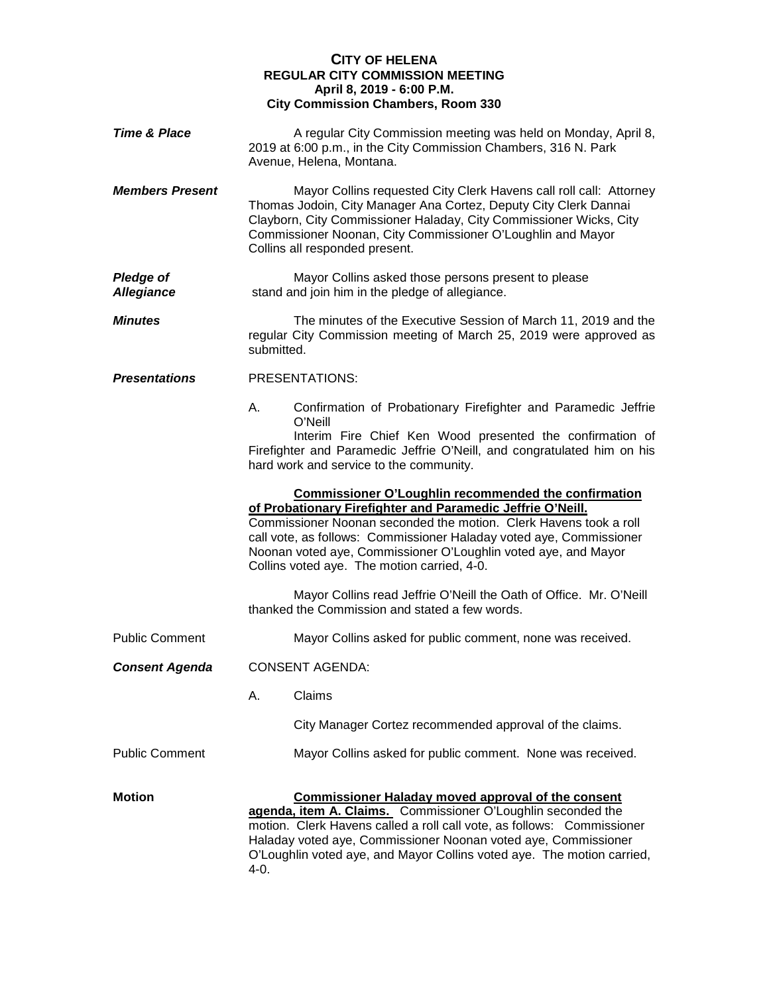## **CITY OF HELENA REGULAR CITY COMMISSION MEETING April 8, 2019 - 6:00 P.M. City Commission Chambers, Room 330**

| <b>Time &amp; Place</b>               |                        | A regular City Commission meeting was held on Monday, April 8,<br>2019 at 6:00 p.m., in the City Commission Chambers, 316 N. Park<br>Avenue, Helena, Montana.                                                                                                                                                                                                                          |
|---------------------------------------|------------------------|----------------------------------------------------------------------------------------------------------------------------------------------------------------------------------------------------------------------------------------------------------------------------------------------------------------------------------------------------------------------------------------|
| <b>Members Present</b>                |                        | Mayor Collins requested City Clerk Havens call roll call: Attorney<br>Thomas Jodoin, City Manager Ana Cortez, Deputy City Clerk Dannai<br>Clayborn, City Commissioner Haladay, City Commissioner Wicks, City<br>Commissioner Noonan, City Commissioner O'Loughlin and Mayor<br>Collins all responded present.                                                                          |
| <b>Pledge of</b><br><b>Allegiance</b> |                        | Mayor Collins asked those persons present to please<br>stand and join him in the pledge of allegiance.                                                                                                                                                                                                                                                                                 |
| <b>Minutes</b>                        | submitted.             | The minutes of the Executive Session of March 11, 2019 and the<br>regular City Commission meeting of March 25, 2019 were approved as                                                                                                                                                                                                                                                   |
| <b>Presentations</b>                  | PRESENTATIONS:         |                                                                                                                                                                                                                                                                                                                                                                                        |
|                                       | А.                     | Confirmation of Probationary Firefighter and Paramedic Jeffrie<br>O'Neill                                                                                                                                                                                                                                                                                                              |
|                                       |                        | Interim Fire Chief Ken Wood presented the confirmation of<br>Firefighter and Paramedic Jeffrie O'Neill, and congratulated him on his<br>hard work and service to the community.                                                                                                                                                                                                        |
|                                       |                        | <b>Commissioner O'Loughlin recommended the confirmation</b><br>of Probationary Firefighter and Paramedic Jeffrie O'Neill.<br>Commissioner Noonan seconded the motion. Clerk Havens took a roll<br>call vote, as follows: Commissioner Haladay voted aye, Commissioner<br>Noonan voted aye, Commissioner O'Loughlin voted aye, and Mayor<br>Collins voted aye. The motion carried, 4-0. |
|                                       |                        | Mayor Collins read Jeffrie O'Neill the Oath of Office. Mr. O'Neill<br>thanked the Commission and stated a few words.                                                                                                                                                                                                                                                                   |
| <b>Public Comment</b>                 |                        | Mayor Collins asked for public comment, none was received.                                                                                                                                                                                                                                                                                                                             |
| <b>Consent Agenda</b>                 | <b>CONSENT AGENDA:</b> |                                                                                                                                                                                                                                                                                                                                                                                        |
|                                       | Α.                     | Claims                                                                                                                                                                                                                                                                                                                                                                                 |
|                                       |                        | City Manager Cortez recommended approval of the claims.                                                                                                                                                                                                                                                                                                                                |
| <b>Public Comment</b>                 |                        | Mayor Collins asked for public comment. None was received.                                                                                                                                                                                                                                                                                                                             |
| <b>Motion</b>                         | 4-0.                   | <b>Commissioner Haladay moved approval of the consent</b><br>agenda, item A. Claims. Commissioner O'Loughlin seconded the<br>motion. Clerk Havens called a roll call vote, as follows: Commissioner<br>Haladay voted aye, Commissioner Noonan voted aye, Commissioner<br>O'Loughlin voted aye, and Mayor Collins voted aye. The motion carried,                                        |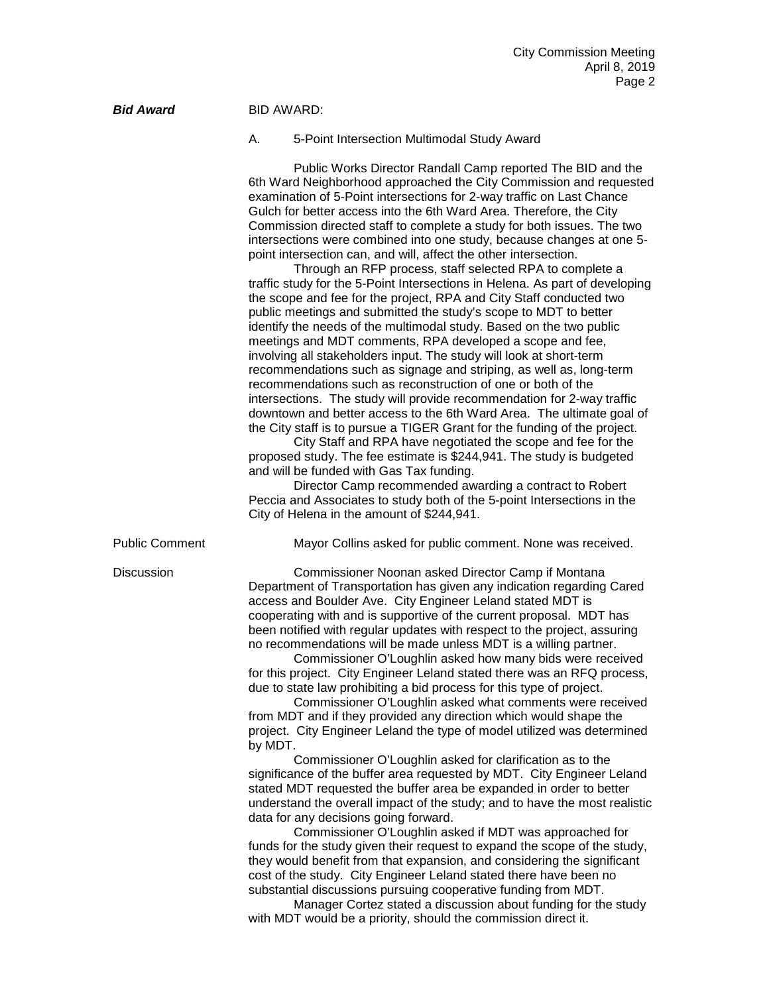| <b>Bid Award</b>      | <b>BID AWARD:</b> |                                                                                                                                                                                                                                                                                                                                                                                                                                                                                                                                                                                                                                                                                                                                                                                                                                                                                                                                                                                                                                                                                                                                                                                                                                                                                                                                                                                                                                                                                                                                                                                                                                                                                                                                                           |  |
|-----------------------|-------------------|-----------------------------------------------------------------------------------------------------------------------------------------------------------------------------------------------------------------------------------------------------------------------------------------------------------------------------------------------------------------------------------------------------------------------------------------------------------------------------------------------------------------------------------------------------------------------------------------------------------------------------------------------------------------------------------------------------------------------------------------------------------------------------------------------------------------------------------------------------------------------------------------------------------------------------------------------------------------------------------------------------------------------------------------------------------------------------------------------------------------------------------------------------------------------------------------------------------------------------------------------------------------------------------------------------------------------------------------------------------------------------------------------------------------------------------------------------------------------------------------------------------------------------------------------------------------------------------------------------------------------------------------------------------------------------------------------------------------------------------------------------------|--|
|                       | А.                | 5-Point Intersection Multimodal Study Award                                                                                                                                                                                                                                                                                                                                                                                                                                                                                                                                                                                                                                                                                                                                                                                                                                                                                                                                                                                                                                                                                                                                                                                                                                                                                                                                                                                                                                                                                                                                                                                                                                                                                                               |  |
|                       |                   | Public Works Director Randall Camp reported The BID and the<br>6th Ward Neighborhood approached the City Commission and requested<br>examination of 5-Point intersections for 2-way traffic on Last Chance<br>Gulch for better access into the 6th Ward Area. Therefore, the City<br>Commission directed staff to complete a study for both issues. The two<br>intersections were combined into one study, because changes at one 5-<br>point intersection can, and will, affect the other intersection.<br>Through an RFP process, staff selected RPA to complete a<br>traffic study for the 5-Point Intersections in Helena. As part of developing<br>the scope and fee for the project, RPA and City Staff conducted two<br>public meetings and submitted the study's scope to MDT to better<br>identify the needs of the multimodal study. Based on the two public<br>meetings and MDT comments, RPA developed a scope and fee,<br>involving all stakeholders input. The study will look at short-term<br>recommendations such as signage and striping, as well as, long-term<br>recommendations such as reconstruction of one or both of the<br>intersections. The study will provide recommendation for 2-way traffic<br>downtown and better access to the 6th Ward Area. The ultimate goal of<br>the City staff is to pursue a TIGER Grant for the funding of the project.<br>City Staff and RPA have negotiated the scope and fee for the<br>proposed study. The fee estimate is \$244,941. The study is budgeted<br>and will be funded with Gas Tax funding.<br>Director Camp recommended awarding a contract to Robert<br>Peccia and Associates to study both of the 5-point Intersections in the<br>City of Helena in the amount of \$244,941. |  |
| <b>Public Comment</b> |                   | Mayor Collins asked for public comment. None was received.                                                                                                                                                                                                                                                                                                                                                                                                                                                                                                                                                                                                                                                                                                                                                                                                                                                                                                                                                                                                                                                                                                                                                                                                                                                                                                                                                                                                                                                                                                                                                                                                                                                                                                |  |
| <b>Discussion</b>     | by MDT.           | Commissioner Noonan asked Director Camp if Montana<br>Department of Transportation has given any indication regarding Cared<br>access and Boulder Ave. City Engineer Leland stated MDT is<br>cooperating with and is supportive of the current proposal. MDT has<br>been notified with regular updates with respect to the project, assuring<br>no recommendations will be made unless MDT is a willing partner.<br>Commissioner O'Loughlin asked how many bids were received<br>for this project. City Engineer Leland stated there was an RFQ process,<br>due to state law prohibiting a bid process for this type of project.<br>Commissioner O'Loughlin asked what comments were received<br>from MDT and if they provided any direction which would shape the<br>project. City Engineer Leland the type of model utilized was determined<br>Commissioner O'Loughlin asked for clarification as to the<br>significance of the buffer area requested by MDT. City Engineer Leland<br>stated MDT requested the buffer area be expanded in order to better<br>understand the overall impact of the study; and to have the most realistic<br>data for any decisions going forward.<br>Commissioner O'Loughlin asked if MDT was approached for<br>funds for the study given their request to expand the scope of the study,<br>they would benefit from that expansion, and considering the significant<br>cost of the study. City Engineer Leland stated there have been no<br>substantial discussions pursuing cooperative funding from MDT.                                                                                                                                                                                                              |  |

Manager Cortez stated a discussion about funding for the study with MDT would be a priority, should the commission direct it.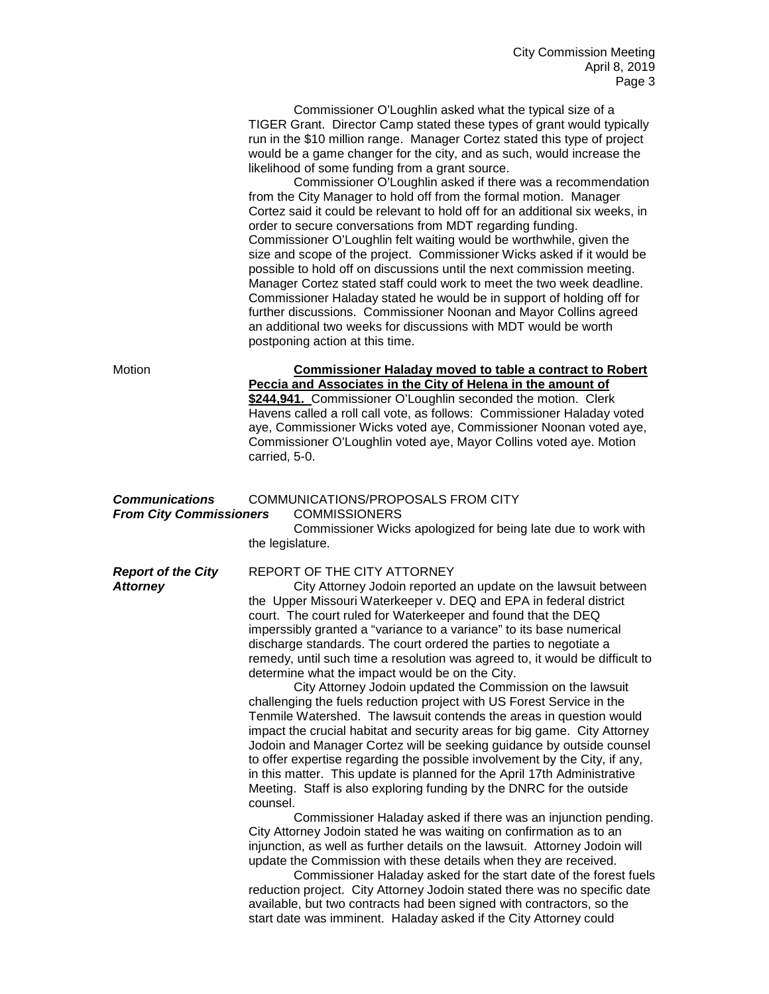Commissioner O'Loughlin asked what the typical size of a TIGER Grant. Director Camp stated these types of grant would typically run in the \$10 million range. Manager Cortez stated this type of project would be a game changer for the city, and as such, would increase the likelihood of some funding from a grant source.

Commissioner O'Loughlin asked if there was a recommendation from the City Manager to hold off from the formal motion. Manager Cortez said it could be relevant to hold off for an additional six weeks, in order to secure conversations from MDT regarding funding. Commissioner O'Loughlin felt waiting would be worthwhile, given the size and scope of the project. Commissioner Wicks asked if it would be possible to hold off on discussions until the next commission meeting. Manager Cortez stated staff could work to meet the two week deadline. Commissioner Haladay stated he would be in support of holding off for further discussions. Commissioner Noonan and Mayor Collins agreed an additional two weeks for discussions with MDT would be worth postponing action at this time.

| Motion                                                  | <b>Commissioner Haladay moved to table a contract to Robert</b><br>Peccia and Associates in the City of Helena in the amount of<br>\$244,941. Commissioner O'Loughlin seconded the motion. Clerk<br>Havens called a roll call vote, as follows: Commissioner Haladay voted<br>aye, Commissioner Wicks voted aye, Commissioner Noonan voted aye,<br>Commissioner O'Loughlin voted aye, Mayor Collins voted aye. Motion<br>carried, 5-0.                                                                                                                                                                                                                                                                                                                                                                                                                                                                                                                                |  |  |
|---------------------------------------------------------|-----------------------------------------------------------------------------------------------------------------------------------------------------------------------------------------------------------------------------------------------------------------------------------------------------------------------------------------------------------------------------------------------------------------------------------------------------------------------------------------------------------------------------------------------------------------------------------------------------------------------------------------------------------------------------------------------------------------------------------------------------------------------------------------------------------------------------------------------------------------------------------------------------------------------------------------------------------------------|--|--|
| <b>Communications</b><br><b>From City Commissioners</b> | COMMUNICATIONS/PROPOSALS FROM CITY<br><b>COMMISSIONERS</b><br>Commissioner Wicks apologized for being late due to work with<br>the legislature.                                                                                                                                                                                                                                                                                                                                                                                                                                                                                                                                                                                                                                                                                                                                                                                                                       |  |  |
| <b>Report of the City</b><br><b>Attorney</b>            | REPORT OF THE CITY ATTORNEY<br>City Attorney Jodoin reported an update on the lawsuit between<br>the Upper Missouri Waterkeeper v. DEQ and EPA in federal district<br>court. The court ruled for Waterkeeper and found that the DEQ<br>imperssibly granted a "variance to a variance" to its base numerical<br>discharge standards. The court ordered the parties to negotiate a<br>remedy, until such time a resolution was agreed to, it would be difficult to<br>determine what the impact would be on the City.<br>City Attorney Jodoin updated the Commission on the lawsuit<br>challenging the fuels reduction project with US Forest Service in the<br>Tenmile Watershed. The lawsuit contends the areas in question would<br>impact the crucial habitat and security areas for big game. City Attorney<br>Jodoin and Manager Cortez will be seeking guidance by outside counsel<br>to offer expertise regarding the possible involvement by the City, if any, |  |  |

in this matter. This update is planned for the April 17th Administrative Meeting. Staff is also exploring funding by the DNRC for the outside counsel.

Commissioner Haladay asked if there was an injunction pending. City Attorney Jodoin stated he was waiting on confirmation as to an injunction, as well as further details on the lawsuit. Attorney Jodoin will update the Commission with these details when they are received.

Commissioner Haladay asked for the start date of the forest fuels reduction project. City Attorney Jodoin stated there was no specific date available, but two contracts had been signed with contractors, so the start date was imminent. Haladay asked if the City Attorney could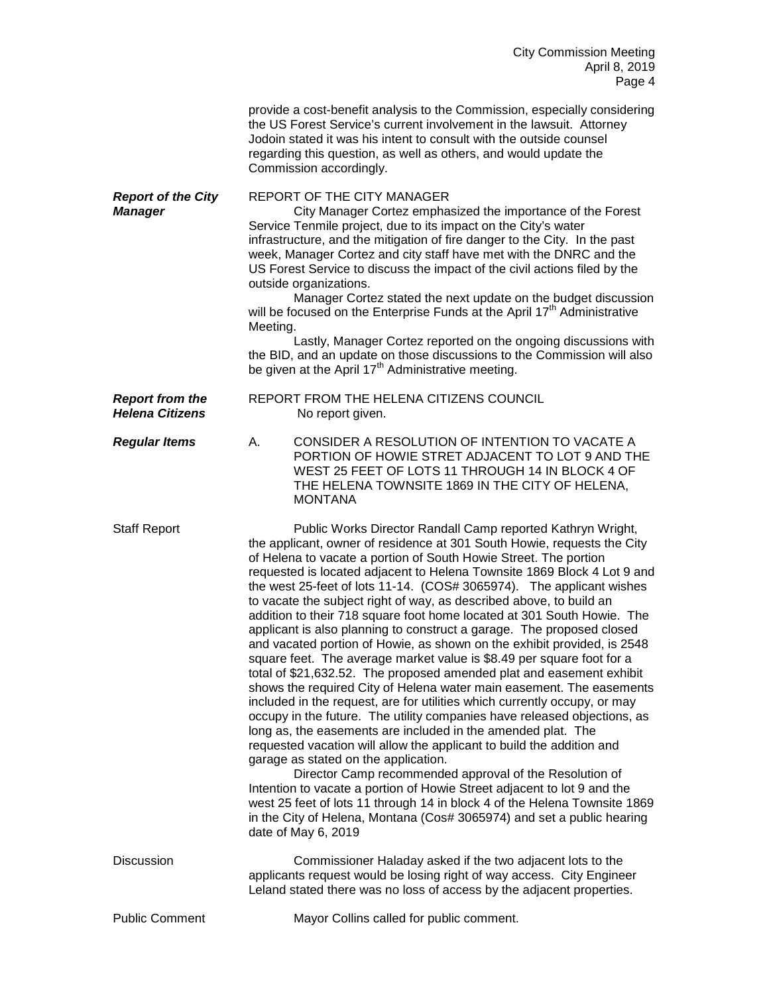City Commission Meeting April 8, 2019 Page 4

|                                                  | provide a cost-benefit analysis to the Commission, especially considering<br>the US Forest Service's current involvement in the lawsuit. Attorney<br>Jodoin stated it was his intent to consult with the outside counsel<br>regarding this question, as well as others, and would update the<br>Commission accordingly.                                                                                                                                                                                                                                                                                                                                                                                                                                                                                                                                                                                                                                                                                                                                                                                                                                                                                                                                                                                                                                                                                                                                                                                                                                   |
|--------------------------------------------------|-----------------------------------------------------------------------------------------------------------------------------------------------------------------------------------------------------------------------------------------------------------------------------------------------------------------------------------------------------------------------------------------------------------------------------------------------------------------------------------------------------------------------------------------------------------------------------------------------------------------------------------------------------------------------------------------------------------------------------------------------------------------------------------------------------------------------------------------------------------------------------------------------------------------------------------------------------------------------------------------------------------------------------------------------------------------------------------------------------------------------------------------------------------------------------------------------------------------------------------------------------------------------------------------------------------------------------------------------------------------------------------------------------------------------------------------------------------------------------------------------------------------------------------------------------------|
| <b>Report of the City</b><br><b>Manager</b>      | <b>REPORT OF THE CITY MANAGER</b><br>City Manager Cortez emphasized the importance of the Forest<br>Service Tenmile project, due to its impact on the City's water<br>infrastructure, and the mitigation of fire danger to the City. In the past<br>week, Manager Cortez and city staff have met with the DNRC and the<br>US Forest Service to discuss the impact of the civil actions filed by the<br>outside organizations.<br>Manager Cortez stated the next update on the budget discussion<br>will be focused on the Enterprise Funds at the April 17 <sup>th</sup> Administrative<br>Meeting.<br>Lastly, Manager Cortez reported on the ongoing discussions with<br>the BID, and an update on those discussions to the Commission will also<br>be given at the April 17 <sup>th</sup> Administrative meeting.                                                                                                                                                                                                                                                                                                                                                                                                                                                                                                                                                                                                                                                                                                                                       |
| <b>Report from the</b><br><b>Helena Citizens</b> | REPORT FROM THE HELENA CITIZENS COUNCIL<br>No report given.                                                                                                                                                                                                                                                                                                                                                                                                                                                                                                                                                                                                                                                                                                                                                                                                                                                                                                                                                                                                                                                                                                                                                                                                                                                                                                                                                                                                                                                                                               |
| <b>Regular Items</b>                             | CONSIDER A RESOLUTION OF INTENTION TO VACATE A<br>А.<br>PORTION OF HOWIE STRET ADJACENT TO LOT 9 AND THE<br>WEST 25 FEET OF LOTS 11 THROUGH 14 IN BLOCK 4 OF<br>THE HELENA TOWNSITE 1869 IN THE CITY OF HELENA,<br><b>MONTANA</b>                                                                                                                                                                                                                                                                                                                                                                                                                                                                                                                                                                                                                                                                                                                                                                                                                                                                                                                                                                                                                                                                                                                                                                                                                                                                                                                         |
| <b>Staff Report</b>                              | Public Works Director Randall Camp reported Kathryn Wright,<br>the applicant, owner of residence at 301 South Howie, requests the City<br>of Helena to vacate a portion of South Howie Street. The portion<br>requested is located adjacent to Helena Townsite 1869 Block 4 Lot 9 and<br>the west 25-feet of lots 11-14. (COS# 3065974). The applicant wishes<br>to vacate the subject right of way, as described above, to build an<br>addition to their 718 square foot home located at 301 South Howie. The<br>applicant is also planning to construct a garage. The proposed closed<br>and vacated portion of Howie, as shown on the exhibit provided, is 2548<br>square feet. The average market value is \$8.49 per square foot for a<br>total of \$21,632.52. The proposed amended plat and easement exhibit<br>shows the required City of Helena water main easement. The easements<br>included in the request, are for utilities which currently occupy, or may<br>occupy in the future. The utility companies have released objections, as<br>long as, the easements are included in the amended plat. The<br>requested vacation will allow the applicant to build the addition and<br>garage as stated on the application.<br>Director Camp recommended approval of the Resolution of<br>Intention to vacate a portion of Howie Street adjacent to lot 9 and the<br>west 25 feet of lots 11 through 14 in block 4 of the Helena Townsite 1869<br>in the City of Helena, Montana (Cos# 3065974) and set a public hearing<br>date of May 6, 2019 |
| <b>Discussion</b>                                | Commissioner Haladay asked if the two adjacent lots to the<br>applicants request would be losing right of way access. City Engineer<br>Leland stated there was no loss of access by the adjacent properties.                                                                                                                                                                                                                                                                                                                                                                                                                                                                                                                                                                                                                                                                                                                                                                                                                                                                                                                                                                                                                                                                                                                                                                                                                                                                                                                                              |
| <b>Public Comment</b>                            | Mayor Collins called for public comment.                                                                                                                                                                                                                                                                                                                                                                                                                                                                                                                                                                                                                                                                                                                                                                                                                                                                                                                                                                                                                                                                                                                                                                                                                                                                                                                                                                                                                                                                                                                  |